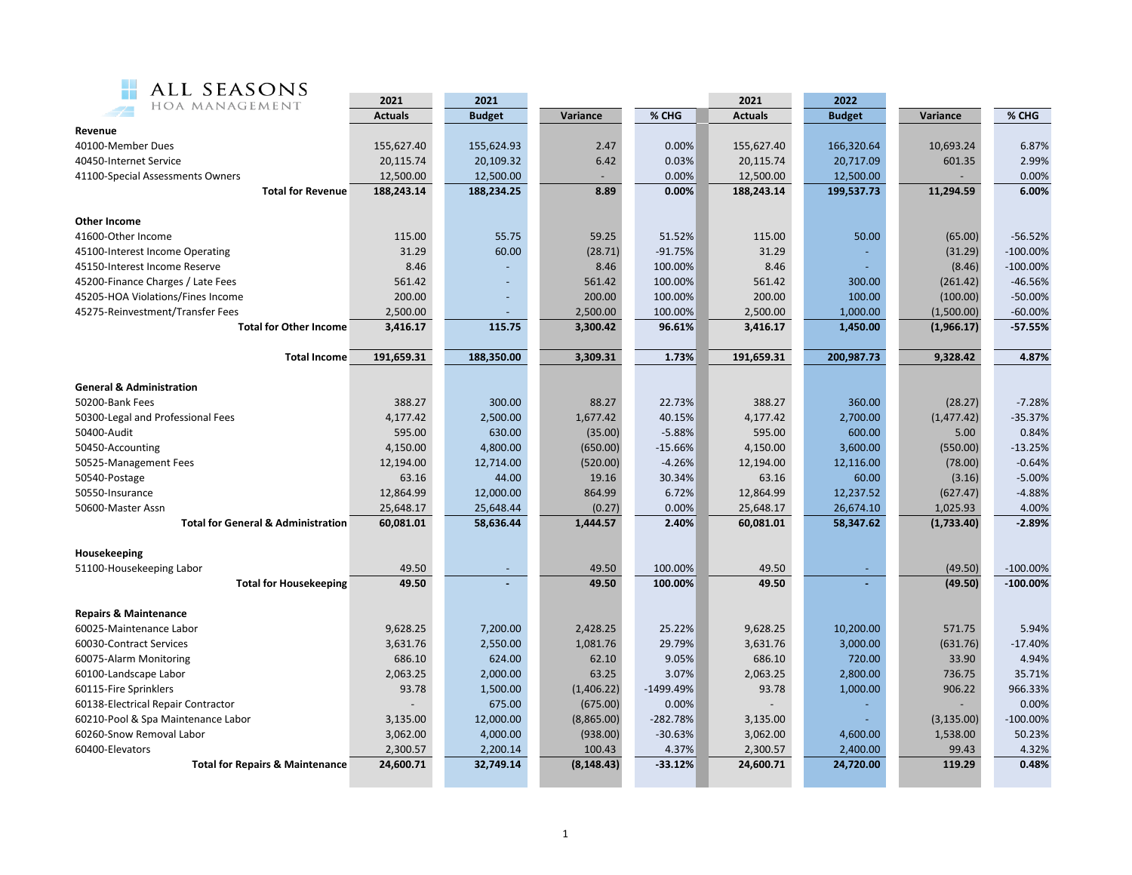

| ALL SEASONS                                   | 2021           | 2021<br>2021<br>2022 |             |            |                |               |             |             |  |
|-----------------------------------------------|----------------|----------------------|-------------|------------|----------------|---------------|-------------|-------------|--|
| HOA MANAGEMENT                                | <b>Actuals</b> | <b>Budget</b>        | Variance    | % CHG      | <b>Actuals</b> | <b>Budget</b> | Variance    | % CHG       |  |
| Revenue                                       |                |                      |             |            |                |               |             |             |  |
| 40100-Member Dues                             | 155,627.40     | 155,624.93           | 2.47        | 0.00%      | 155,627.40     | 166,320.64    | 10,693.24   | 6.87%       |  |
| 40450-Internet Service                        | 20,115.74      | 20,109.32            | 6.42        | 0.03%      | 20,115.74      | 20,717.09     | 601.35      | 2.99%       |  |
| 41100-Special Assessments Owners              | 12,500.00      | 12,500.00            |             | 0.00%      | 12,500.00      | 12,500.00     |             | 0.00%       |  |
| <b>Total for Revenue</b>                      | 188,243.14     | 188,234.25           | 8.89        | 0.00%      | 188,243.14     | 199,537.73    | 11,294.59   | 6.00%       |  |
|                                               |                |                      |             |            |                |               |             |             |  |
| <b>Other Income</b>                           |                |                      |             |            |                |               |             |             |  |
| 41600-Other Income                            | 115.00         | 55.75                | 59.25       | 51.52%     | 115.00         | 50.00         | (65.00)     | $-56.52%$   |  |
| 45100-Interest Income Operating               | 31.29          | 60.00                | (28.71)     | $-91.75%$  | 31.29          |               | (31.29)     | $-100.00%$  |  |
| 45150-Interest Income Reserve                 | 8.46           |                      | 8.46        | 100.00%    | 8.46           |               | (8.46)      | $-100.00\%$ |  |
| 45200-Finance Charges / Late Fees             | 561.42         |                      | 561.42      | 100.00%    | 561.42         | 300.00        | (261.42)    | $-46.56%$   |  |
| 45205-HOA Violations/Fines Income             | 200.00         |                      | 200.00      | 100.00%    | 200.00         | 100.00        | (100.00)    | $-50.00%$   |  |
| 45275-Reinvestment/Transfer Fees              | 2,500.00       |                      | 2,500.00    | 100.00%    | 2,500.00       | 1,000.00      | (1,500.00)  | $-60.00%$   |  |
| <b>Total for Other Income</b>                 | 3,416.17       | 115.75               | 3,300.42    | 96.61%     | 3,416.17       | 1,450.00      | (1,966.17)  | $-57.55%$   |  |
|                                               |                |                      |             |            |                |               |             |             |  |
| <b>Total Income</b>                           | 191,659.31     | 188,350.00           | 3,309.31    | 1.73%      | 191,659.31     | 200,987.73    | 9,328.42    | 4.87%       |  |
| <b>General &amp; Administration</b>           |                |                      |             |            |                |               |             |             |  |
| 50200-Bank Fees                               | 388.27         | 300.00               | 88.27       | 22.73%     | 388.27         | 360.00        | (28.27)     | $-7.28%$    |  |
| 50300-Legal and Professional Fees             | 4,177.42       | 2,500.00             | 1,677.42    | 40.15%     | 4,177.42       | 2,700.00      | (1, 477.42) | $-35.37%$   |  |
| 50400-Audit                                   | 595.00         | 630.00               | (35.00)     | $-5.88%$   | 595.00         | 600.00        | 5.00        | 0.84%       |  |
| 50450-Accounting                              | 4,150.00       | 4,800.00             | (650.00)    | $-15.66%$  | 4,150.00       | 3,600.00      | (550.00)    | $-13.25%$   |  |
| 50525-Management Fees                         | 12,194.00      | 12,714.00            | (520.00)    | $-4.26%$   | 12,194.00      | 12,116.00     | (78.00)     | $-0.64%$    |  |
| 50540-Postage                                 | 63.16          | 44.00                | 19.16       | 30.34%     | 63.16          | 60.00         | (3.16)      | $-5.00%$    |  |
| 50550-Insurance                               | 12,864.99      | 12,000.00            | 864.99      | 6.72%      | 12,864.99      | 12,237.52     | (627.47)    | $-4.88%$    |  |
| 50600-Master Assn                             | 25,648.17      | 25,648.44            | (0.27)      | 0.00%      | 25,648.17      | 26,674.10     | 1,025.93    | 4.00%       |  |
| <b>Total for General &amp; Administration</b> | 60,081.01      | 58,636.44            | 1,444.57    | 2.40%      | 60,081.01      | 58,347.62     | (1,733.40)  | $-2.89%$    |  |
|                                               |                |                      |             |            |                |               |             |             |  |
| Housekeeping                                  |                |                      |             |            |                |               |             |             |  |
| 51100-Housekeeping Labor                      | 49.50          |                      | 49.50       | 100.00%    | 49.50          |               | (49.50)     | $-100.00\%$ |  |
| <b>Total for Housekeeping</b>                 | 49.50          |                      | 49.50       | 100.00%    | 49.50          |               | (49.50)     | $-100.00%$  |  |
|                                               |                |                      |             |            |                |               |             |             |  |
| <b>Repairs &amp; Maintenance</b>              |                |                      |             |            |                |               |             |             |  |
| 60025-Maintenance Labor                       | 9,628.25       | 7,200.00             | 2,428.25    | 25.22%     | 9,628.25       | 10,200.00     | 571.75      | 5.94%       |  |
| 60030-Contract Services                       | 3,631.76       | 2,550.00             | 1,081.76    | 29.79%     | 3,631.76       | 3,000.00      | (631.76)    | $-17.40%$   |  |
| 60075-Alarm Monitoring                        | 686.10         | 624.00               | 62.10       | 9.05%      | 686.10         | 720.00        | 33.90       | 4.94%       |  |
| 60100-Landscape Labor                         | 2,063.25       | 2,000.00             | 63.25       | 3.07%      | 2,063.25       | 2,800.00      | 736.75      | 35.71%      |  |
| 60115-Fire Sprinklers                         | 93.78          | 1,500.00             | (1,406.22)  | -1499.49%  | 93.78          | 1,000.00      | 906.22      | 966.33%     |  |
| 60138-Electrical Repair Contractor            |                | 675.00               | (675.00)    | 0.00%      |                |               |             | 0.00%       |  |
| 60210-Pool & Spa Maintenance Labor            | 3,135.00       | 12,000.00            | (8,865.00)  | $-282.78%$ | 3,135.00       |               | (3, 135.00) | $-100.00%$  |  |
| 60260-Snow Removal Labor                      | 3,062.00       | 4,000.00             | (938.00)    | $-30.63%$  | 3,062.00       | 4,600.00      | 1,538.00    | 50.23%      |  |
| 60400-Elevators                               | 2,300.57       | 2,200.14             | 100.43      | 4.37%      | 2,300.57       | 2,400.00      | 99.43       | 4.32%       |  |
| <b>Total for Repairs &amp; Maintenance</b>    | 24,600.71      | 32,749.14            | (8, 148.43) | $-33.12%$  | 24,600.71      | 24,720.00     | 119.29      | 0.48%       |  |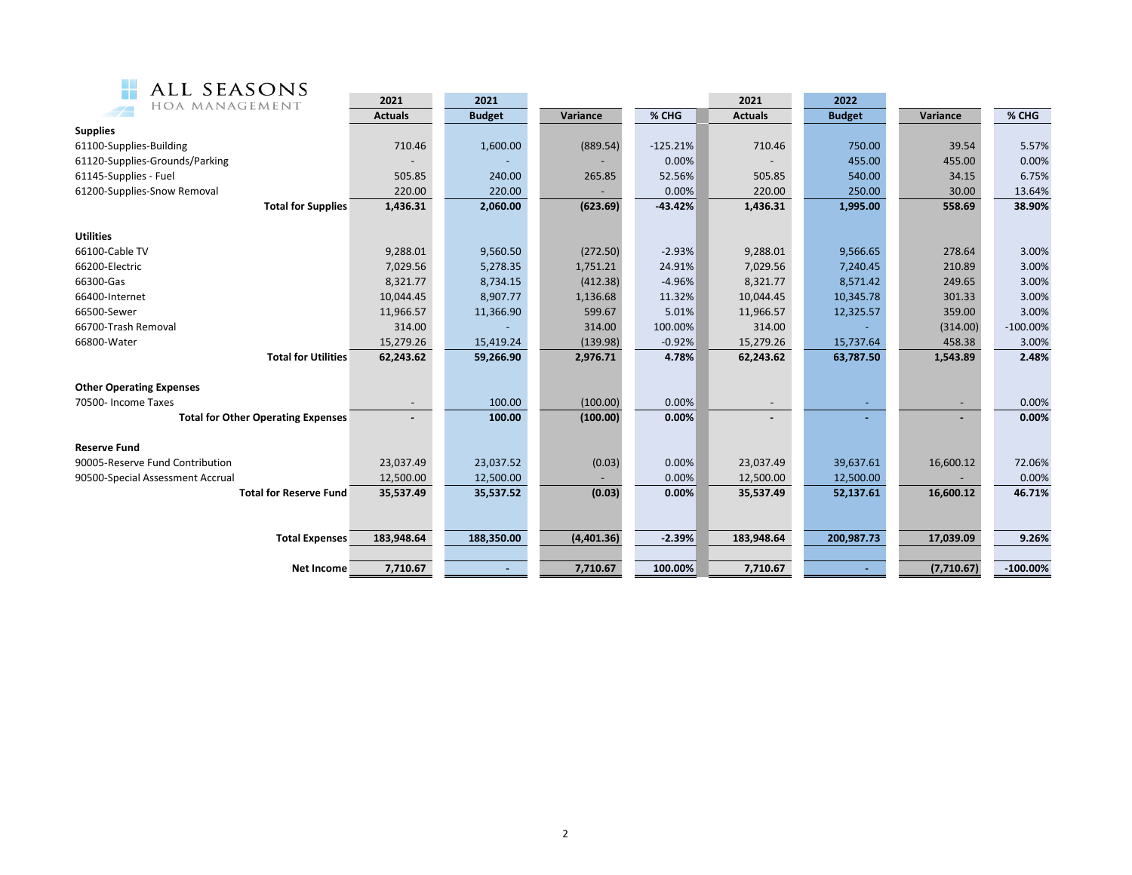

| ALL SEASONS<br>HOA MANAGEMENT             | 2021           | 2021          |            |            | 2021                     | 2022          |            |             |
|-------------------------------------------|----------------|---------------|------------|------------|--------------------------|---------------|------------|-------------|
|                                           | <b>Actuals</b> | <b>Budget</b> | Variance   | % CHG      | <b>Actuals</b>           | <b>Budget</b> | Variance   | % CHG       |
| <b>Supplies</b>                           |                |               |            |            |                          |               |            |             |
| 61100-Supplies-Building                   | 710.46         | 1,600.00      | (889.54)   | $-125.21%$ | 710.46                   | 750.00        | 39.54      | 5.57%       |
| 61120-Supplies-Grounds/Parking            |                |               |            | 0.00%      |                          | 455.00        | 455.00     | 0.00%       |
| 61145-Supplies - Fuel                     | 505.85         | 240.00        | 265.85     | 52.56%     | 505.85                   | 540.00        | 34.15      | 6.75%       |
| 61200-Supplies-Snow Removal               | 220.00         | 220.00        |            | 0.00%      | 220.00                   | 250.00        | 30.00      | 13.64%      |
| <b>Total for Supplies</b>                 | 1,436.31       | 2,060.00      | (623.69)   | $-43.42%$  | 1,436.31                 | 1,995.00      | 558.69     | 38.90%      |
| <b>Utilities</b>                          |                |               |            |            |                          |               |            |             |
| 66100-Cable TV                            | 9,288.01       | 9,560.50      | (272.50)   | $-2.93%$   | 9,288.01                 | 9,566.65      | 278.64     | 3.00%       |
| 66200-Electric                            | 7,029.56       | 5,278.35      | 1,751.21   | 24.91%     | 7,029.56                 | 7,240.45      | 210.89     | 3.00%       |
| 66300-Gas                                 | 8,321.77       | 8,734.15      | (412.38)   | $-4.96%$   | 8,321.77                 | 8,571.42      | 249.65     | 3.00%       |
| 66400-Internet                            | 10,044.45      | 8,907.77      | 1,136.68   | 11.32%     | 10,044.45                | 10,345.78     | 301.33     | 3.00%       |
| 66500-Sewer                               | 11,966.57      | 11,366.90     | 599.67     | 5.01%      | 11,966.57                | 12,325.57     | 359.00     | 3.00%       |
| 66700-Trash Removal                       | 314.00         |               | 314.00     | 100.00%    | 314.00                   |               | (314.00)   | $-100.00\%$ |
| 66800-Water                               | 15,279.26      | 15,419.24     | (139.98)   | $-0.92%$   | 15,279.26                | 15,737.64     | 458.38     | 3.00%       |
| <b>Total for Utilities</b>                | 62,243.62      | 59,266.90     | 2,976.71   | 4.78%      | 62,243.62                | 63,787.50     | 1,543.89   | 2.48%       |
| <b>Other Operating Expenses</b>           |                |               |            |            |                          |               |            |             |
| 70500- Income Taxes                       |                | 100.00        | (100.00)   | 0.00%      | $\overline{\phantom{a}}$ |               |            | 0.00%       |
| <b>Total for Other Operating Expenses</b> |                | 100.00        | (100.00)   | 0.00%      |                          |               |            | 0.00%       |
| <b>Reserve Fund</b>                       |                |               |            |            |                          |               |            |             |
| 90005-Reserve Fund Contribution           | 23,037.49      | 23,037.52     | (0.03)     | 0.00%      | 23,037.49                | 39,637.61     | 16,600.12  | 72.06%      |
| 90500-Special Assessment Accrual          | 12,500.00      | 12,500.00     |            | 0.00%      | 12,500.00                | 12,500.00     |            | 0.00%       |
| <b>Total for Reserve Fund</b>             | 35,537.49      | 35,537.52     | (0.03)     | 0.00%      | 35,537.49                | 52,137.61     | 16,600.12  | 46.71%      |
|                                           |                |               |            |            |                          |               |            |             |
| <b>Total Expenses</b>                     | 183,948.64     | 188,350.00    | (4,401.36) | $-2.39%$   | 183,948.64               | 200,987.73    | 17,039.09  | 9.26%       |
|                                           |                |               |            |            |                          |               |            |             |
| Net Income                                | 7,710.67       |               | 7,710.67   | 100.00%    | 7,710.67                 |               | (7,710.67) | $-100.00%$  |